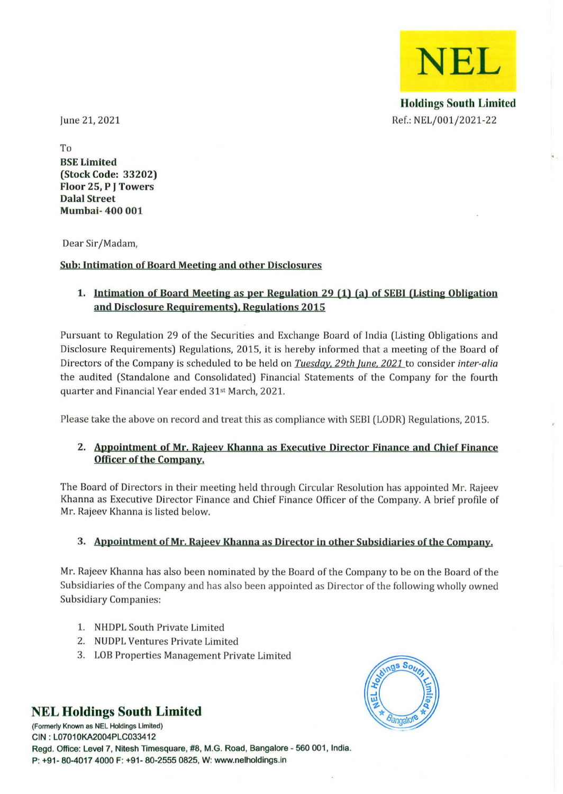**NEL** 

Holdings South Limited Ref.: NEL/001/2021-22

June 21, 2021

To BSE Limited (Stock Code: 33202) Floor 25, P J Towers Dalal Street Mumbai- 400 001

Dear Sir/Madam,

## Sub: Intimation of Board Meeting and other Disclosures

# 1. Intimation of Board Meeting as per Regulation 29 (1) (a) of SEBI (Listing Obligation and Disclosure Requirements). Regulations 2015

Pursuant to Regulation 29 of the Securities and Exchange Board of India (Listing Obligations and Disclosure Requirements) Regulations, 2015, it is hereby informed that a meeting of the Board of Directors of the Company is scheduled to be held on *Tuesdqy, 29th lune, 2021* to consider *inter-alia*  the audited (Standalone and Consolidated) Financial Statements of the Company for the fourth quarter and Financial Year ended 31" March, 2021.

Please take the above on record and treat this as compliance with SEBI (LODR) Regulations, 2015.

## 2. Appointment of Mr. Rajeev Khanna as Executive Director Finance and Chief Finance Officer of the Company.

The Board of Directors in their meeting held through Circular Resolution has appointed Mr. Rajeev Khanna as Executive Director Finance and Chief Finance Officer of the Company. A brief profile of Mr. Rajeev Khanna is listed below.

## 3. Appointment of Mr. Rajeev Khanna as Director in other Subsidiaries of the Company.

Mr. Rajeev Khanna has also been nominated by the Board of the Company to be on the Board of the Subsidiaries of the Company and has also been appointed as Director of the following wholly owned Subsidiary Companies:

- 1. NHDPL South Private Limited
- 2. NUDPL Ventures Private Limited
- 3. LOB Properties Management Private Limited

# **NEL Holdings South Limited**

**(Formerly Known as NEL Holdings limited)**  CIN : L07010KA2004PLC033412 Regd. Office: Level 7, Nitesh Timesquare, #8, M.G. Road, Bangalore - 560 001, India. P: +91 - 80-4017 4000 F: +91- 80-2555 0825, W: www.nelholdings.in

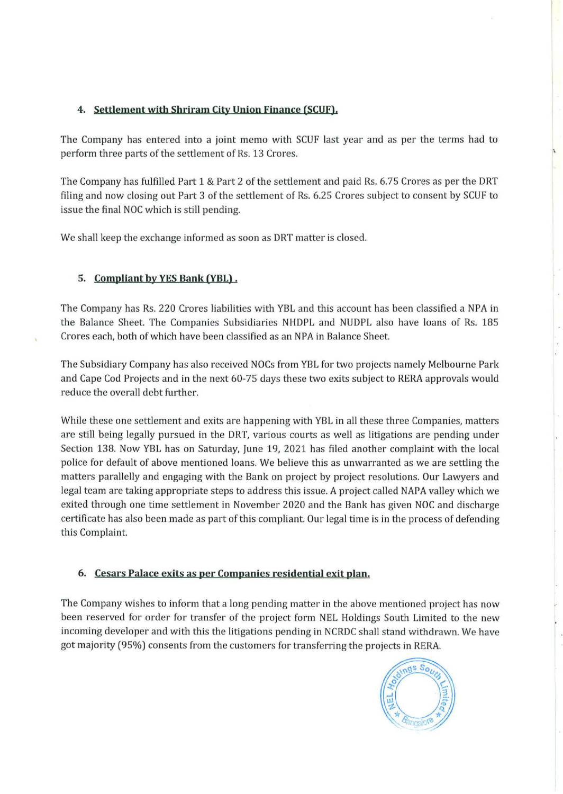## 4. Settlement with Shriram City Union Finance (SCUF).

The Company has entered into a joint memo with SCUF last year and as per the terms had to perform three parts of the settlement of Rs. 13 Crores.

The Company has fulfilled Part 1 & Part 2 of the settlement and paid Rs. 6.75 Crores as per the DRT filing and now closing out Part 3 of the settlement of Rs. 6.25 Crores subject to consent by SCUF to issue the final NOC which is still pending.

We shall keep the exchange informed as soon as DRT matter is closed.

## 5. Compliant by YES Bank (YBL).

The Company has Rs. 220 Crores liabilities with YBL and this account has been classified a NPA in the Balance Sheet. The Companies Subsidiaries NHDPL and NUDPL also have loans of Rs. 185 Crores each, both of which have been classified as an NPA in Balance Sheet.

The Subsidiary Company has also received NOCs from YBL for two projects namely Melbourne Park and Cape Cod Projects and in the next 60-75 days these two exits subject to RERA approvals would reduce the overall debt further.

While these one settlement and exits are happening with YBL in all these three Companies, matters are still being legally pursued in the DRT, various courts as well as litigations are pending under Section 138. Now YBL has on Saturday, June 19, 2021 has filed another complaint with the local police for default of above mentioned loans. We believe this as unwarranted as we are settling the matters parallelly and engaging with the Bank on project by project resolutions. Our Lawyers and legal team are taking appropriate steps to address this issue. A project called NAPA valley which we exited through one time settlement in November 2020 and the Bank has given NOC and discharge certificate has also been made as part of this compliant. Our legal time is in the process of defending this Complaint.

## 6. Cesars Palace exits as per Companies residential exit plan.

The Company wishes to inform that a long pending matter in the above mentioned project has now been reserved for order for transfer of the project form NEL Holdings South Limited to the new incoming developer and with this the litigations pending in NCRDC shall stand withdrawn. We have got majority (95%) consents from the customers for transferring the projects in RERA.

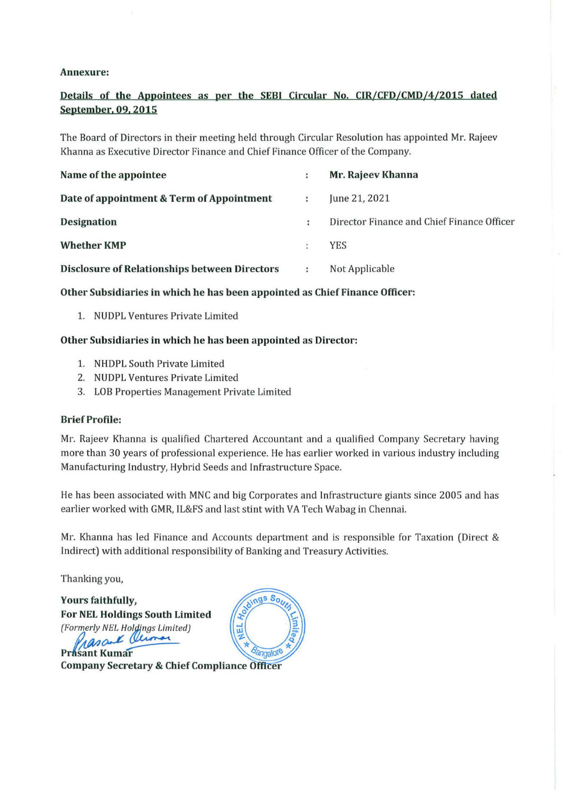#### Annexure:

# Details of the Appointees as per the SEBI Circular No. CIR/CFD/CMD/4/2015 dated September. 09. 2015

The Board of Directors in their meeting held through Circular Resolution has appointed Mr. Rajeev Khanna as Executive Director Finance and Chief Finance Officer of the Company.

| Name of the appointee                                | ÷ | Mr. Rajeev Khanna                          |
|------------------------------------------------------|---|--------------------------------------------|
| Date of appointment & Term of Appointment            | ÷ | June 21, 2021                              |
| <b>Designation</b>                                   | ÷ | Director Finance and Chief Finance Officer |
| <b>Whether KMP</b>                                   |   | <b>YES</b>                                 |
| <b>Disclosure of Relationships between Directors</b> |   | Not Applicable                             |

## Other Subsidiaries in which he has been appointed as Chief Finance Officer:

1. NUDPL Ventures Private Limited

#### Other Subsidiaries in which he has been appointed as Director:

- 1. NHDPL South Private Limited
- 2. NUDPL Ventures Private Limited
- 3. LOB Properties Management Private Limited

#### Brief Profile:

Mr. Rajeev Khanna is qualified Chartered Accountant and a qualified Company Secretary having more than 30 years of professional experience. He has earlier worked in various industry including Manufacturing Industry, Hybrid Seeds and Infrastructure Space.

He has been associated with MNC and big Corporates and Infrastructure giants since 2005 and has earlier worked with GMR, lL&FS and last stint with VA Tech Wabag in Chennai.

Mr. Khanna has led Finance and Accounts department and is responsible for Taxation (Direct & Indirect) with additional responsibility of Banking and Treasury Activities.

Thanking you,

Yours faithfully, For NEL Holdings South Limited (Formerly NEL Holdings Limited) & Olimar asan **Prasant Kumar** 



**Company Secretary & Chief Compliance Officer**